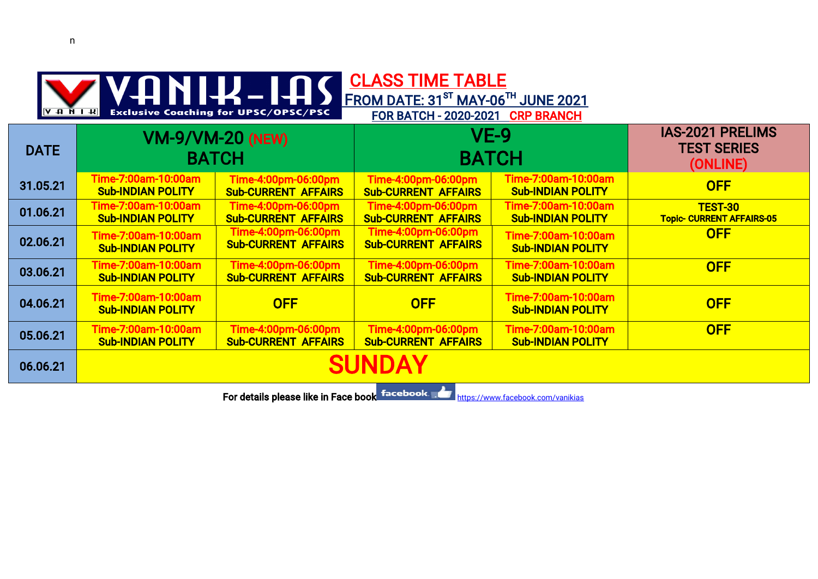| <b>CLASS TIME TABLE</b><br>ANIK-IA<br>FROM DATE: 31 <sup>ST</sup> MAY-06TH JUNE 2021<br><b>Exclusive Coaching for UPSC/OPSC/PSC</b><br>$ A \cup B \cup A $<br><b>FOR BATCH - 2020-2021</b><br><b>CRP BRANCH</b> |                                                 |                                                   |                                                   |                                                 |                                                           |  |
|-----------------------------------------------------------------------------------------------------------------------------------------------------------------------------------------------------------------|-------------------------------------------------|---------------------------------------------------|---------------------------------------------------|-------------------------------------------------|-----------------------------------------------------------|--|
| <b>DATE</b>                                                                                                                                                                                                     | <b>VM-9/VM-20 (NEW)</b><br><b>BATCH</b>         |                                                   | $VE-9$<br><b>BATCH</b>                            |                                                 | <b>IAS-2021 PRELIMS</b><br><b>TEST SERIES</b><br>(ONLINE) |  |
| 31.05.21                                                                                                                                                                                                        | Time-7:00am-10:00am<br><b>Sub-INDIAN POLITY</b> | Time-4:00pm-06:00pm<br><b>Sub-CURRENT AFFAIRS</b> | Time-4:00pm-06:00pm<br><b>Sub-CURRENT AFFAIRS</b> | Time-7:00am-10:00am<br><b>Sub-INDIAN POLITY</b> | <b>OFF</b>                                                |  |
| 01.06.21                                                                                                                                                                                                        | Time-7:00am-10:00am<br><b>Sub-INDIAN POLITY</b> | Time-4:00pm-06:00pm<br><b>Sub-CURRENT AFFAIRS</b> | Time-4:00pm-06:00pm<br><b>Sub-CURRENT AFFAIRS</b> | Time-7:00am-10:00am<br><b>Sub-INDIAN POLITY</b> | <b>TEST-30</b><br><b>Topic- CURRENT AFFAIRS-05</b>        |  |
| 02.06.21                                                                                                                                                                                                        | Time-7:00am-10:00am<br><b>Sub-INDIAN POLITY</b> | Time-4:00pm-06:00pm<br><b>Sub-CURRENT AFFAIRS</b> | Time-4:00pm-06:00pm<br><b>Sub-CURRENT AFFAIRS</b> | Time-7:00am-10:00am<br><b>Sub-INDIAN POLITY</b> | <b>OFF</b>                                                |  |
| 03.06.21                                                                                                                                                                                                        | Time-7:00am-10:00am<br><b>Sub-INDIAN POLITY</b> | Time-4:00pm-06:00pm<br><b>Sub-CURRENT AFFAIRS</b> | Time-4:00pm-06:00pm<br><b>Sub-CURRENT AFFAIRS</b> | Time-7:00am-10:00am<br><b>Sub-INDIAN POLITY</b> | <b>OFF</b>                                                |  |
| 04.06.21                                                                                                                                                                                                        | Time-7:00am-10:00am<br><b>Sub-INDIAN POLITY</b> | <b>OFF</b>                                        | <b>OFF</b>                                        | Time-7:00am-10:00am<br><b>Sub-INDIAN POLITY</b> | <b>OFF</b>                                                |  |
| 05.06.21                                                                                                                                                                                                        | Time-7:00am-10:00am<br><b>Sub-INDIAN POLITY</b> | Time-4:00pm-06:00pm<br><b>Sub-CURRENT AFFAIRS</b> | Time-4:00pm-06:00pm<br><b>Sub-CURRENT AFFAIRS</b> | Time-7:00am-10:00am<br><b>Sub-INDIAN POLITY</b> | <b>OFF</b>                                                |  |
| 06.06.21                                                                                                                                                                                                        | <b>SUNDAY</b>                                   |                                                   |                                                   |                                                 |                                                           |  |
| and the control of the state                                                                                                                                                                                    |                                                 |                                                   |                                                   |                                                 |                                                           |  |

For details please like in Face book facebook. Mathematical https://www.facebook.com/vanikias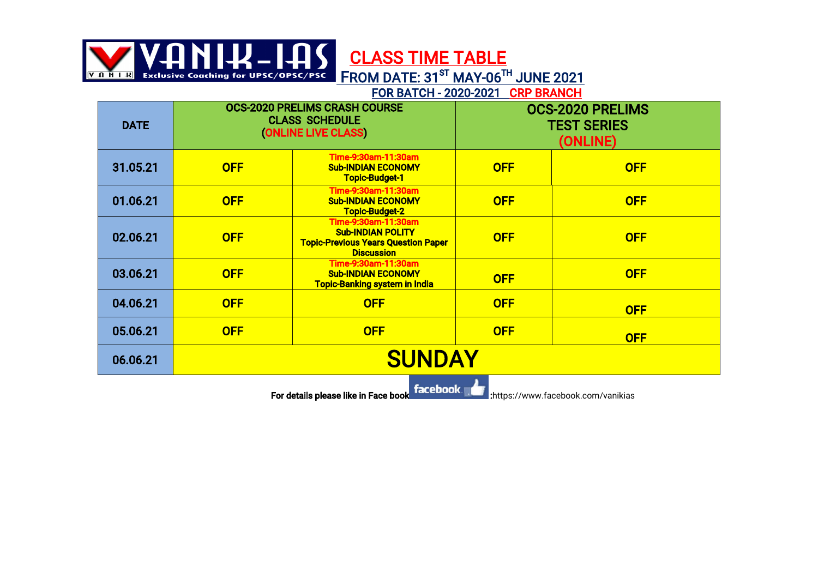NIH-IAS CLASS TIME TABLE

Exclusive Coaching for UPSC/OPSC/PSC FROM DATE: 31<sup>ST</sup> MAY-06<sup>TH</sup> JUNE 2021

FOR BATCH - 2020-2021 CRP BRANCH

| <b>DATE</b> | <b>OCS-2020 PRELIMS CRASH COURSE</b><br><b>CLASS SCHEDULE</b><br>(ONLINE LIVE CLASS) |                                                                                                                    | <b>OCS-2020 PRELIMS</b><br><b>TEST SERIES</b><br>(ONLINE) |            |  |
|-------------|--------------------------------------------------------------------------------------|--------------------------------------------------------------------------------------------------------------------|-----------------------------------------------------------|------------|--|
| 31.05.21    | <b>OFF</b>                                                                           | Time-9:30am-11:30am<br><b>Sub-INDIAN ECONOMY</b><br><b>Topic-Budget-1</b>                                          | <b>OFF</b>                                                | <b>OFF</b> |  |
| 01.06.21    | <b>OFF</b>                                                                           | Time-9:30am-11:30am<br><b>Sub-INDIAN ECONOMY</b><br><b>Topic-Budget-2</b>                                          | <b>OFF</b>                                                | <b>OFF</b> |  |
| 02.06.21    | <b>OFF</b>                                                                           | Time-9:30am-11:30am<br><b>Sub-INDIAN POLITY</b><br><b>Topic-Previous Years Question Paper</b><br><b>Discussion</b> | <b>OFF</b>                                                | <b>OFF</b> |  |
| 03.06.21    | <b>OFF</b>                                                                           | Time-9:30am-11:30am<br><b>Sub-INDIAN ECONOMY</b><br><b>Topic-Banking system in India</b>                           | <b>OFF</b>                                                | <b>OFF</b> |  |
| 04.06.21    | <b>OFF</b>                                                                           | <b>OFF</b>                                                                                                         | <b>OFF</b>                                                | <b>OFF</b> |  |
| 05.06.21    | <b>OFF</b>                                                                           | <b>OFF</b>                                                                                                         | <b>OFF</b>                                                | <b>OFF</b> |  |
| 06.06.21    | <b>SUNDAY</b>                                                                        |                                                                                                                    |                                                           |            |  |
| $frac -$    |                                                                                      |                                                                                                                    |                                                           |            |  |

For details please like in Face book **details in the state of the state of the state** ://www.facebook.com/vanikias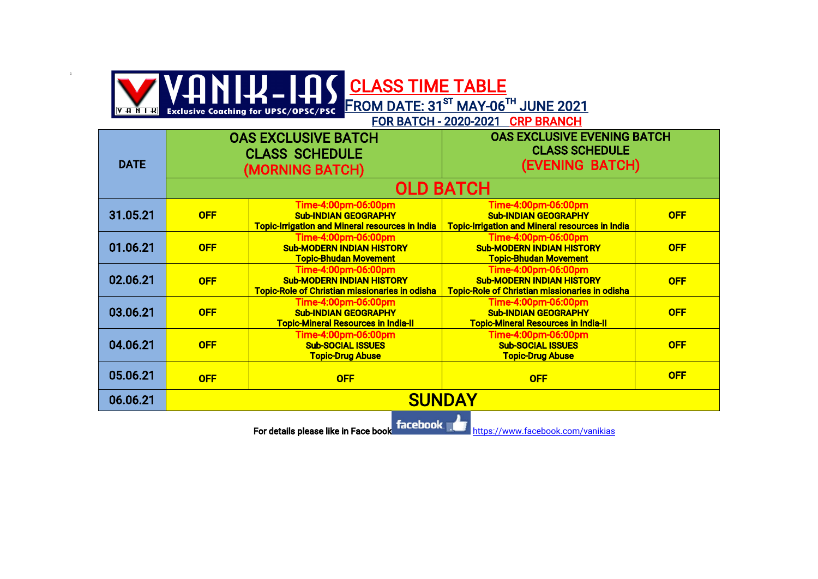## CLASSTIMETABLE FROM DATE:  $31^{ST}$  MAY-06<sup>TH</sup> JUNE 2021

G

<u>|и і й н у</u>

FOR BATCH - 2020-2021 CRP BRANCH

| <b>DATE</b> | <b>OAS EXCLUSIVE BATCH</b><br><b>CLASS SCHEDULE</b><br>(MORNING BATCH) |                                                                                                                  | <b>OAS EXCLUSIVE EVENING BATCH</b><br><b>CLASS SCHEDULE</b><br>(EVENING BATCH)                                   |            |  |
|-------------|------------------------------------------------------------------------|------------------------------------------------------------------------------------------------------------------|------------------------------------------------------------------------------------------------------------------|------------|--|
|             | <b>OLD BATCH</b>                                                       |                                                                                                                  |                                                                                                                  |            |  |
| 31.05.21    | <b>OFF</b>                                                             | Time-4:00pm-06:00pm<br><b>Sub-INDIAN GEOGRAPHY</b><br><b>Topic-Irrigation and Mineral resources in India</b>     | Time-4:00pm-06:00pm<br><b>Sub-INDIAN GEOGRAPHY</b><br><b>Topic-Irrigation and Mineral resources in India</b>     | <b>OFF</b> |  |
| 01.06.21    | <b>OFF</b>                                                             | Time-4:00pm-06:00pm<br><b>Sub-MODERN INDIAN HISTORY</b><br><b>Topic-Bhudan Movement</b>                          | Time-4:00pm-06:00pm<br><b>Sub-MODERN INDIAN HISTORY</b><br><b>Topic-Bhudan Movement</b>                          | <b>OFF</b> |  |
| 02.06.21    | <b>OFF</b>                                                             | Time-4:00pm-06:00pm<br><b>Sub-MODERN INDIAN HISTORY</b><br><b>Topic-Role of Christian missionaries in odisha</b> | Time-4:00pm-06:00pm<br><b>Sub-MODERN INDIAN HISTORY</b><br><b>Topic-Role of Christian missionaries in odisha</b> | <b>OFF</b> |  |
| 03.06.21    | <b>OFF</b>                                                             | Time-4:00pm-06:00pm<br><b>Sub-INDIAN GEOGRAPHY</b><br><b>Topic-Mineral Resources in India-II</b>                 | Time-4:00pm-06:00pm<br><b>Sub-INDIAN GEOGRAPHY</b><br><b>Topic-Mineral Resources in India-II</b>                 | <b>OFF</b> |  |
| 04.06.21    | <b>OFF</b>                                                             | Time-4:00pm-06:00pm<br><b>Sub-SOCIAL ISSUES</b><br><b>Topic-Drug Abuse</b>                                       | Time-4:00pm-06:00pm<br><b>Sub-SOCIAL ISSUES</b><br><b>Topic-Drug Abuse</b>                                       | <b>OFF</b> |  |
| 05.06.21    | <b>OFF</b>                                                             | <b>OFF</b>                                                                                                       | <b>OFF</b>                                                                                                       | <b>OFF</b> |  |
| 06.06.21    | <b>SUNDAY</b>                                                          |                                                                                                                  |                                                                                                                  |            |  |
| frac        |                                                                        |                                                                                                                  |                                                                                                                  |            |  |

For details please like in Face book **https://www.facebook.com/vanikias**